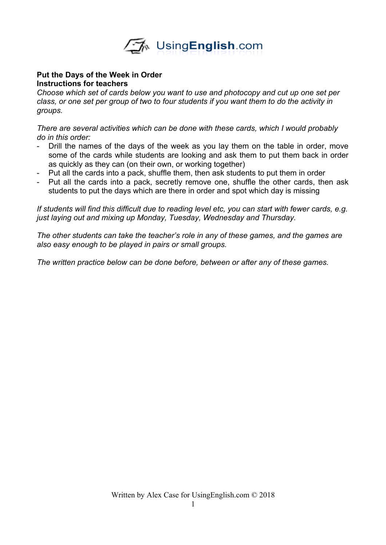

## **Put the Days of the Week in Order Instructions for teachers**

*Choose which set of cards below you want to use and photocopy and cut up one set per class, or one set per group of two to four students if you want them to do the activity in groups.*

*There are several activities which can be done with these cards, which I would probably do in this order:*

- Drill the names of the days of the week as you lay them on the table in order, move some of the cards while students are looking and ask them to put them back in order as quickly as they can (on their own, or working together)
- Put all the cards into a pack, shuffle them, then ask students to put them in order
- Put all the cards into a pack, secretly remove one, shuffle the other cards, then ask students to put the days which are there in order and spot which day is missing

*If students will find this difficult due to reading level etc, you can start with fewer cards, e.g. just laying out and mixing up Monday, Tuesday, Wednesday and Thursday.* 

*The other students can take the teacher's role in any of these games, and the games are also easy enough to be played in pairs or small groups.* 

*The written practice below can be done before, between or after any of these games.*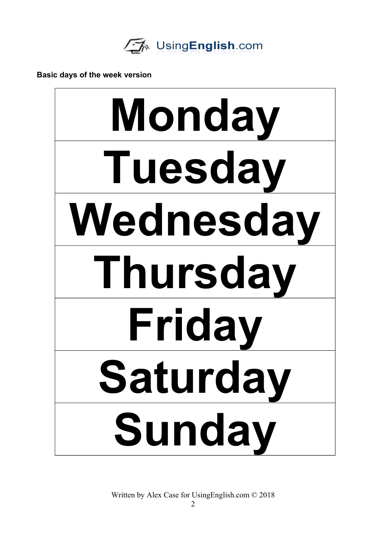

**Basic days of the week version**



Written by Alex Case for UsingEnglish.com © 2018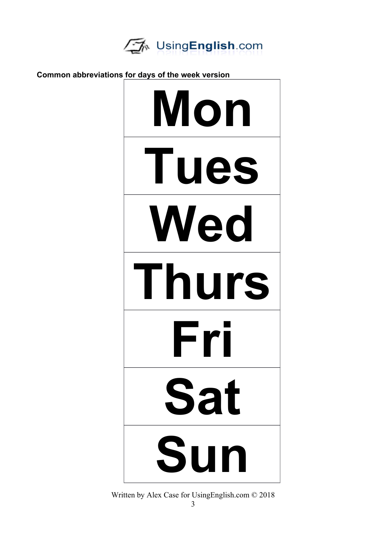

**Common abbreviations for days of the week version Mon Tues Wed Thurs Fri Sat Sun**

Written by Alex Case for UsingEnglish.com © 2018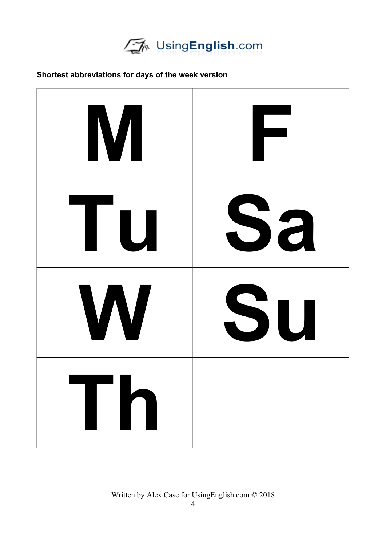

## **Shortest abbreviations for days of the week version**



Written by Alex Case for UsingEnglish.com © 2018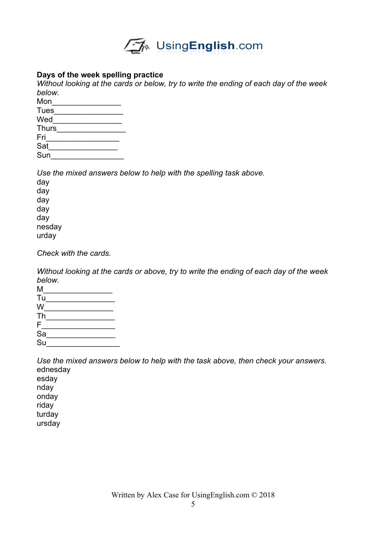

## **Days of the week spelling practice**

*Without looking at the cards or below, try to write the ending of each day of the week below.*

| Mon          |  |
|--------------|--|
| <b>Tues</b>  |  |
| Wed          |  |
| <b>Thurs</b> |  |
| Fri          |  |
| Sat          |  |
| Sun          |  |
|              |  |

*Use the mixed answers below to help with the spelling task above.*

| day    |
|--------|
| day    |
| day    |
| day    |
| day    |
| nesday |
| urday  |

*Check with the cards.*

*Without looking at the cards or above, try to write the ending of each day of the week below.*

| Μ                         |  |
|---------------------------|--|
| Tu                        |  |
| W                         |  |
| Th                        |  |
| F                         |  |
| $\overline{sa}$           |  |
| $\overline{\mathsf{S}}$ u |  |

*Use the mixed answers below to help with the task above, then check your answers.*  ednesday esday nday onday riday turday ursday